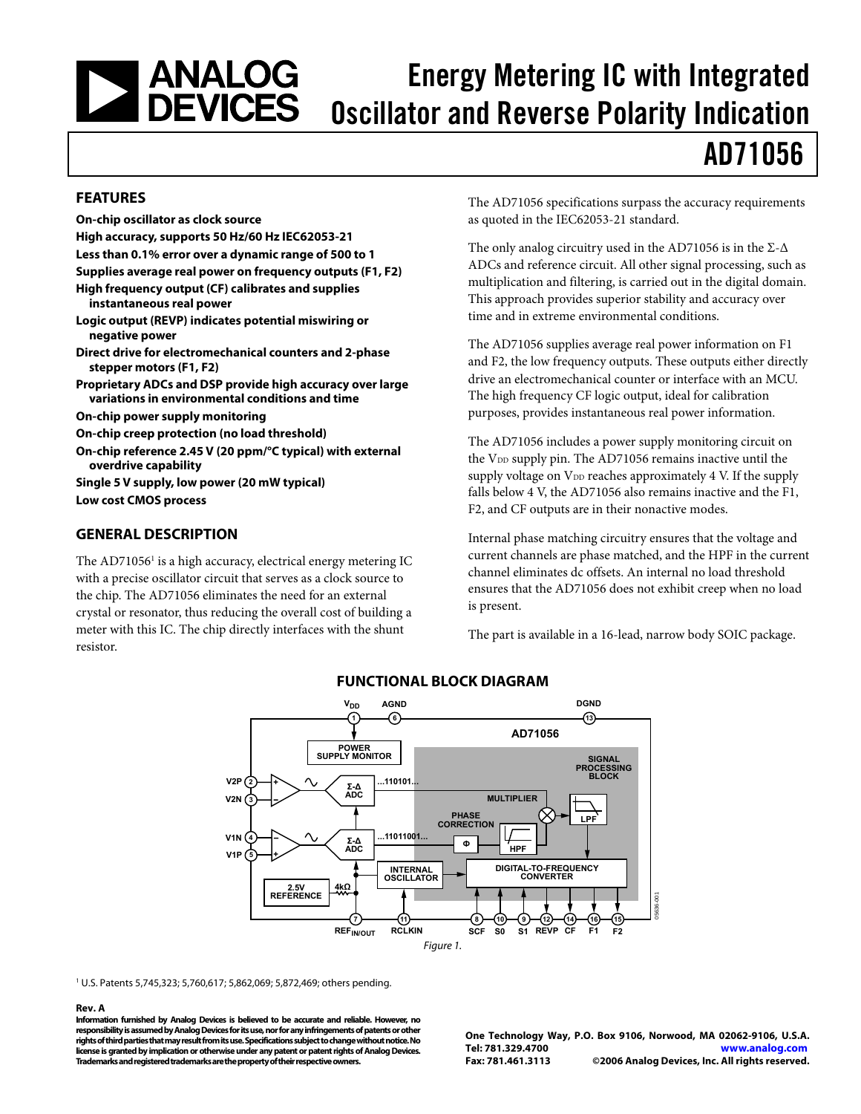### <span id="page-0-0"></span>| ANALOG<br>| DEVICES Energy Metering IC with Integrated Oscillator and Reverse Polarity Indication

# AD71056

### **FEATURES**

**On-chip oscillator as clock source High accuracy, supports 50 Hz/60 Hz IEC62053-21 Less than 0.1% error over a dynamic range of 500 to 1 Supplies average real power on frequency outputs (F1, F2) High frequency output (CF) calibrates and supplies instantaneous real power Logic output (REVP) indicates potential miswiring or negative power Direct drive for electromechanical counters and 2-phase stepper motors (F1, F2) Proprietary ADCs and DSP provide high accuracy over large variations in environmental conditions and time On-chip power supply monitoring On-chip creep protection (no load threshold) On-chip reference 2.45 V (20 ppm/°C typical) with external overdrive capability** 

**Single 5 V supply, low power (20 mW typical) Low cost CMOS process** 

### **GENERAL DESCRIPTION**

The AD71056<sup>1</sup> is a high accuracy, electrical energy metering IC with a precise oscillator circuit that serves as a clock source to the chip. The AD71056 eliminates the need for an external crystal or resonator, thus reducing the overall cost of building a meter with this IC. The chip directly interfaces with the shunt resistor.

The AD71056 specifications surpass the accuracy requirements as quoted in the IEC62053-21 standard.

The only analog circuitry used in the AD71056 is in the  $\Sigma$ - $\Delta$ ADCs and reference circuit. All other signal processing, such as multiplication and filtering, is carried out in the digital domain. This approach provides superior stability and accuracy over time and in extreme environmental conditions.

The AD71056 supplies average real power information on F1 and F2, the low frequency outputs. These outputs either directly drive an electromechanical counter or interface with an MCU. The high frequency CF logic output, ideal for calibration purposes, provides instantaneous real power information.

The AD71056 includes a power supply monitoring circuit on the  $V_{DD}$  supply pin. The AD71056 remains inactive until the supply voltage on  $V_{DD}$  reaches approximately 4 V. If the supply falls below 4 V, the AD71056 also remains inactive and the F1, F2, and CF outputs are in their nonactive modes.

Internal phase matching circuitry ensures that the voltage and current channels are phase matched, and the HPF in the current channel eliminates dc offsets. An internal no load threshold ensures that the AD71056 does not exhibit creep when no load is present.

The part is available in a 16-lead, narrow body SOIC package.



### **FUNCTIONAL BLOCK DIAGRAM**

1 U.S. Patents 5,745,323; 5,760,617; 5,862,069; 5,872,469; others pending.

#### **Rev. A**

**Information furnished by Analog Devices is believed to be accurate and reliable. However, no responsibility is assumed by Analog Devices for its use, nor for any infringements of patents or other rights of third parties that may result from its use. Specifications subject to change without notice. No license is granted by implication or otherwise under any patent or patent rights of Analog Devices. Trademarks and registered trademarks are the property of their respective owners.**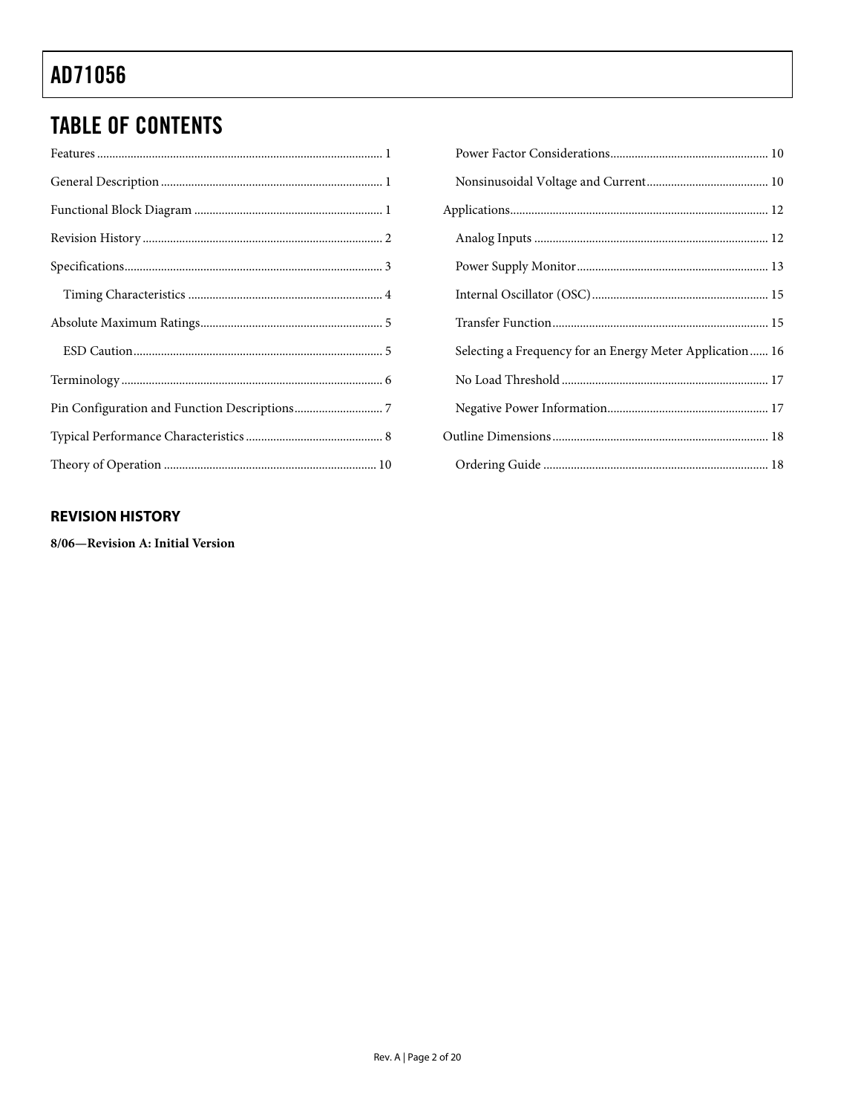# <span id="page-1-0"></span>**TABLE OF CONTENTS**

| Selecting a Frequency for an Energy Meter Application 16 |
|----------------------------------------------------------|
|                                                          |
|                                                          |
|                                                          |
|                                                          |

### **REVISION HISTORY**

8/06-Revision A: Initial Version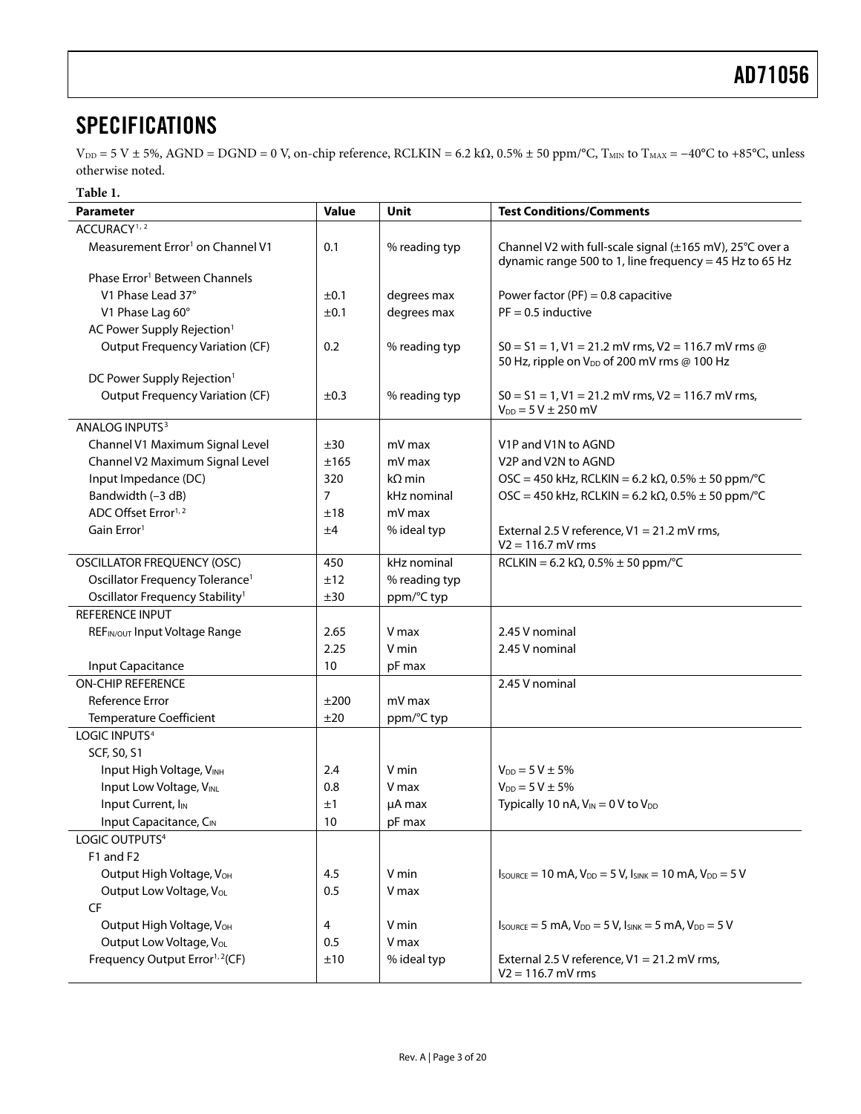### <span id="page-2-1"></span><span id="page-2-0"></span>**SPECIFICATIONS**

 $V_{DD} = 5 V \pm 5\%$ , AGND = DGND = 0 V, on-chip reference, RCLKIN = 6.2 k $\Omega$ , 0.5%  $\pm$  50 ppm/°C, T<sub>MIN</sub> to T<sub>MAX</sub> = -40°C to +85°C, unless otherwise noted.

#### **Table 1.**

| Parameter                                    | <b>Value</b> | Unit          | <b>Test Conditions/Comments</b>                                                                                                         |
|----------------------------------------------|--------------|---------------|-----------------------------------------------------------------------------------------------------------------------------------------|
| ACCURACY <sup>1, 2</sup>                     |              |               |                                                                                                                                         |
| Measurement Error <sup>1</sup> on Channel V1 | 0.1          | % reading typ | Channel V2 with full-scale signal (±165 mV), 25°C over a<br>dynamic range 500 to 1, line frequency = 45 Hz to 65 Hz                     |
| Phase Error <sup>1</sup> Between Channels    |              |               |                                                                                                                                         |
| V1 Phase Lead 37°                            | ±0.1         | degrees max   | Power factor (PF) = $0.8$ capacitive                                                                                                    |
| V1 Phase Lag 60°                             | ±0.1         | degrees max   | $PF = 0.5$ inductive                                                                                                                    |
| AC Power Supply Rejection <sup>1</sup>       |              |               |                                                                                                                                         |
| <b>Output Frequency Variation (CF)</b>       | 0.2          | % reading typ | $50 = 51 = 1$ , V1 = 21.2 mV rms, V2 = 116.7 mV rms @<br>50 Hz, ripple on V <sub>DD</sub> of 200 mV rms @ 100 Hz                        |
| DC Power Supply Rejection <sup>1</sup>       |              |               |                                                                                                                                         |
| <b>Output Frequency Variation (CF)</b>       | ±0.3         | % reading typ | $S0 = S1 = 1$ , V1 = 21.2 mV rms, V2 = 116.7 mV rms,<br>$V_{DD} = 5 V \pm 250$ mV                                                       |
| ANALOG INPUTS <sup>3</sup>                   |              |               |                                                                                                                                         |
| Channel V1 Maximum Signal Level              | ±30          | mV max        | V1P and V1N to AGND                                                                                                                     |
| Channel V2 Maximum Signal Level              | ±165         | mV max        | V2P and V2N to AGND                                                                                                                     |
| Input Impedance (DC)                         | 320          | $k\Omega$ min | $\text{OSC} = 450 \text{ kHz}$ , RCLKIN = 6.2 k $\Omega$ , 0.5% $\pm$ 50 ppm/°C                                                         |
| Bandwidth (-3 dB)                            | 7            | kHz nominal   | OSC = 450 kHz, RCLKIN = 6.2 kΩ, 0.5% $\pm$ 50 ppm/°C                                                                                    |
| ADC Offset Error <sup>1,2</sup>              | ±18          | mV max        |                                                                                                                                         |
| Gain Error <sup>1</sup>                      | ±4           | % ideal typ   | External 2.5 V reference, V1 = 21.2 mV rms,<br>$V2 = 116.7$ mV rms                                                                      |
| <b>OSCILLATOR FREQUENCY (OSC)</b>            | 450          | kHz nominal   | RCLKIN = 6.2 kΩ, 0.5% $\pm$ 50 ppm/°C                                                                                                   |
| Oscillator Frequency Tolerance <sup>1</sup>  | ±12          | % reading typ |                                                                                                                                         |
| Oscillator Frequency Stability <sup>1</sup>  | ±30          | ppm/°C typ    |                                                                                                                                         |
| REFERENCE INPUT                              |              |               |                                                                                                                                         |
| REFIN/OUT Input Voltage Range                | 2.65         | V max         | 2.45 V nominal                                                                                                                          |
|                                              | 2.25         | V min         | 2.45 V nominal                                                                                                                          |
| Input Capacitance                            | 10           | pF max        |                                                                                                                                         |
| <b>ON-CHIP REFERENCE</b>                     |              |               | 2.45 V nominal                                                                                                                          |
| Reference Error                              | ±200         | mV max        |                                                                                                                                         |
| <b>Temperature Coefficient</b>               | ±20          | ppm/°C typ    |                                                                                                                                         |
| LOGIC INPUTS <sup>4</sup>                    |              |               |                                                                                                                                         |
| SCF, S0, S1                                  |              |               |                                                                                                                                         |
| Input High Voltage, VINH                     | 2.4          | V min         | $V_{DD} = 5 V \pm 5\%$                                                                                                                  |
| Input Low Voltage, VINL                      | 0.8          | V max         | $V_{DD} = 5 V \pm 5\%$                                                                                                                  |
| Input Current, I <sub>IN</sub>               | ±1           | $\mu$ A max   | Typically 10 nA, $V_{IN} = 0$ V to $V_{DD}$                                                                                             |
| Input Capacitance, CIN                       | 10           | pF max        |                                                                                                                                         |
| LOGIC OUTPUTS <sup>4</sup>                   |              |               |                                                                                                                                         |
| F1 and F2                                    |              |               |                                                                                                                                         |
| Output High Voltage, V <sub>OH</sub>         | 4.5          | V min         | $I_{\text{SOWRCE}} = 10 \text{ mA}$ , $V_{\text{DD}} = 5 \text{ V}$ , $I_{\text{SINK}} = 10 \text{ mA}$ , $V_{\text{DD}} = 5 \text{ V}$ |
| Output Low Voltage, Vol.                     | 0.5          | V max         |                                                                                                                                         |
| CF                                           |              |               |                                                                                                                                         |
| Output High Voltage, VOH                     | 4            | V min         | $I_{\text{SOWRCE}} = 5 \text{ mA}$ , $V_{\text{DD}} = 5 \text{ V}$ , $I_{\text{SINK}} = 5 \text{ mA}$ , $V_{\text{DD}} = 5 \text{ V}$   |
| Output Low Voltage, V <sub>OL</sub>          | 0.5          | V max         |                                                                                                                                         |
| Frequency Output Error <sup>1, 2</sup> (CF)  | ±10          | % ideal typ   | External 2.5 V reference, V1 = 21.2 mV rms,<br>$V2 = 116.7$ mV rms                                                                      |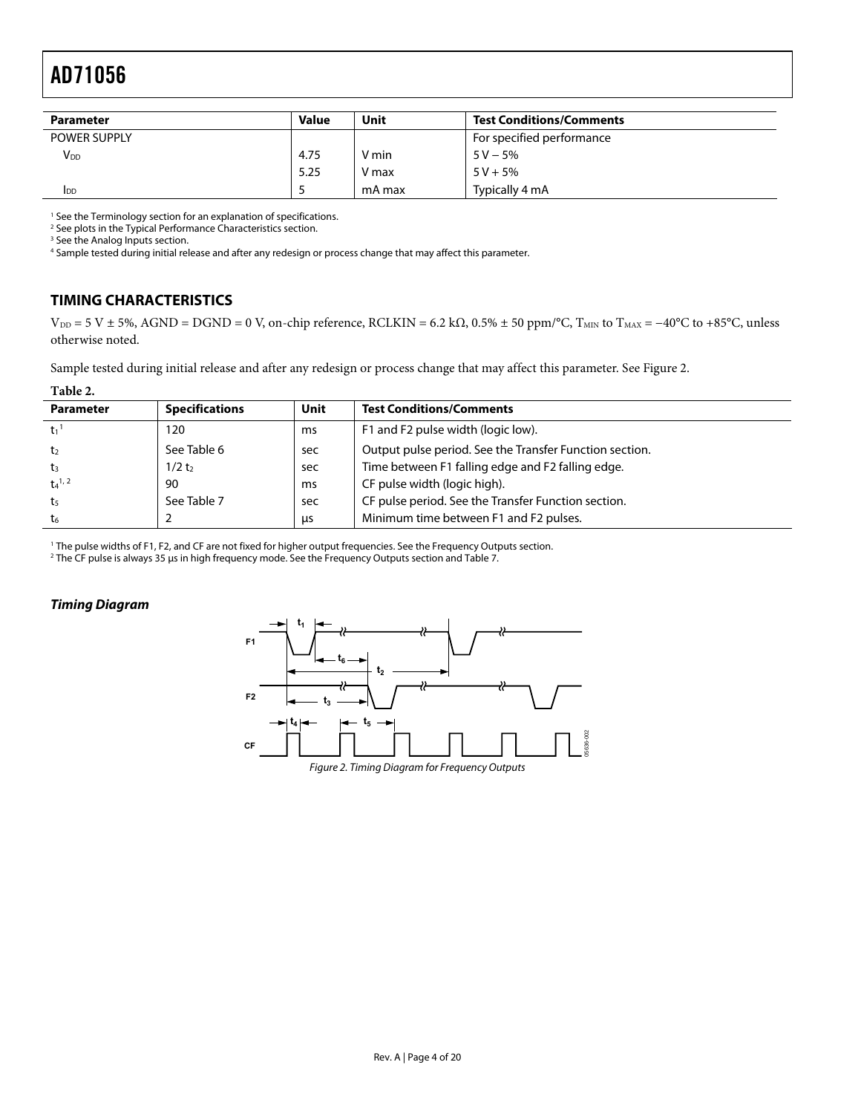<span id="page-3-0"></span>

| <b>Parameter</b>    | <b>Value</b> | Unit   | <b>Test Conditions/Comments</b> |
|---------------------|--------------|--------|---------------------------------|
| <b>POWER SUPPLY</b> |              |        | For specified performance       |
| V <sub>DD</sub>     | 4.75         | V min  | $5V - 5%$                       |
|                     | 5.25         | V max  | $5 V + 5%$                      |
| <b>I</b> DD         |              | mA max | Typically 4 mA                  |

<sup>1</sup> See th[e Terminology s](#page-5-1)ection for an explanation of specifications.<br><sup>2</sup> See plots in the Typical Performance Characteristics section

<sup>2</sup> See plots in the [Typical Performance Characteristics s](#page-7-1)ection.

<sup>3</sup> See the [Analog Inputs s](#page-11-1)ection.

4 Sample tested during initial release and after any redesign or process change that may affect this parameter.

### **TIMING CHARACTERISTICS**

 $V_{DD} = 5 V \pm 5\%$ , AGND = DGND = 0 V, on-chip reference, RCLKIN = 6.2 k $\Omega$ , 0.5%  $\pm$  50 ppm/°C, T<sub>MIN</sub> to T<sub>MAX</sub> = -40°C to +85°C, unless otherwise noted.

Sample tested during initial release and after any redesign or process change that may affect this parameter. See [Figure 2](#page-3-1).

| ורו |
|-----|
|-----|

<span id="page-3-2"></span>

| <b>Parameter</b>      | <b>Specifications</b> | Unit | <b>Test Conditions/Comments</b>                         |
|-----------------------|-----------------------|------|---------------------------------------------------------|
| $t_1$ <sup>1</sup>    | 120                   | ms   | F1 and F2 pulse width (logic low).                      |
| t,                    | See Table 6           | sec  | Output pulse period. See the Transfer Function section. |
| tз                    | 1/2t <sub>2</sub>     | sec  | Time between F1 falling edge and F2 falling edge.       |
| $t_4$ <sup>1, 2</sup> | 90                    | ms   | CF pulse width (logic high).                            |
| t5                    | See Table 7           | sec  | CF pulse period. See the Transfer Function section.     |
| t <sub>6</sub>        |                       | us   | Minimum time between F1 and F2 pulses.                  |

<sup>1</sup> The pulse widths of F1, F2, and CF are not fixed for higher output frequencies. See the [Frequency Outputs s](#page-15-3)ection.<br><sup>2</sup> The CF pulse is always 35 us in high frequency mode. See the Frequency Outputs section and Table 7.

The CF pulse is always 35 μs in high frequency mode. See the [Frequency Outputs s](#page-15-3)ection and [Table 7.](#page-15-3) 

#### <span id="page-3-1"></span>**Timing Diagram**

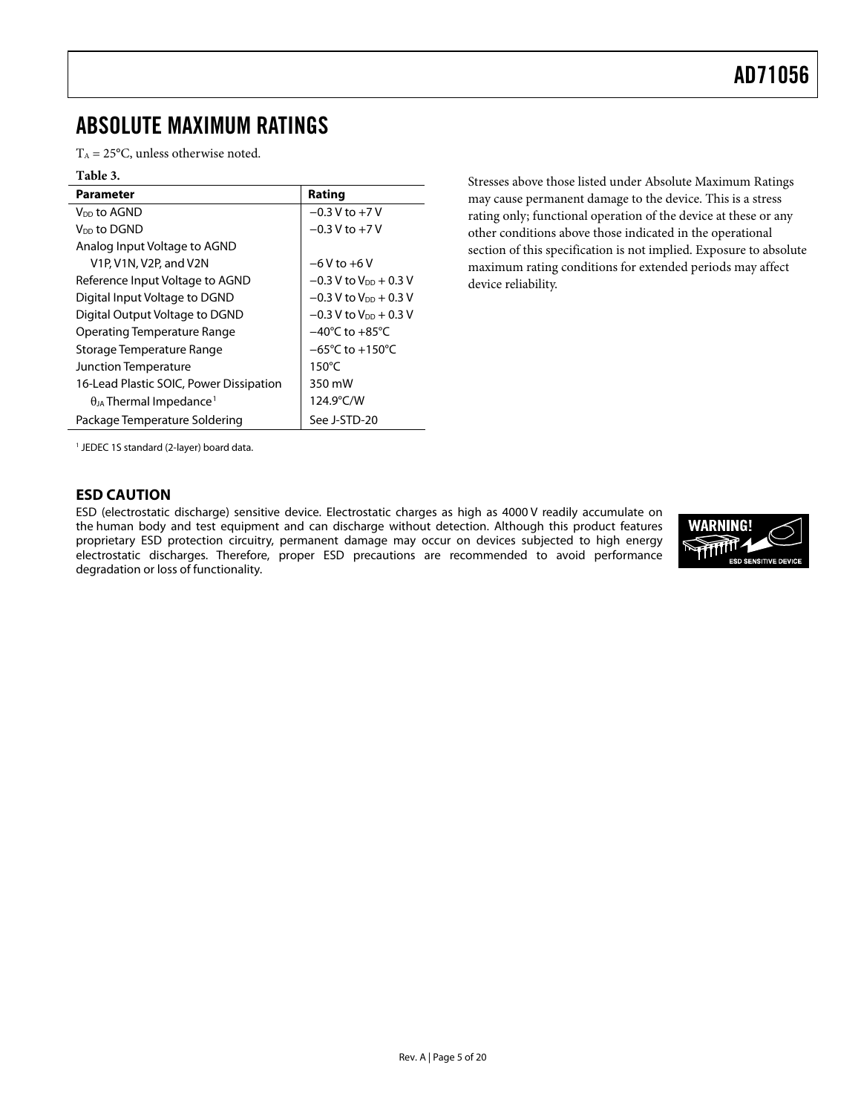### <span id="page-4-0"></span>ABSOLUTE MAXIMUM RATINGS

 $T_A = 25$ °C, unless otherwise noted.

#### **Table 3.**

| Parameter                                                                 | Rating                               |
|---------------------------------------------------------------------------|--------------------------------------|
| V <sub>DD</sub> to AGND                                                   | $-0.3 V$ to $+7 V$                   |
| V <sub>DD</sub> to DGND                                                   | $-0.3$ V to $+7$ V                   |
| Analog Input Voltage to AGND                                              |                                      |
| V <sub>1</sub> P, V <sub>1</sub> N, V <sub>2</sub> P, and V <sub>2N</sub> | $-6V$ to $+6V$                       |
| Reference Input Voltage to AGND                                           | $-0.3$ V to V <sub>DD</sub> + 0.3 V  |
| Digital Input Voltage to DGND                                             | $-0.3$ V to V <sub>DD</sub> + 0.3 V  |
| Digital Output Voltage to DGND                                            | $-0.3$ V to V <sub>DD</sub> + 0.3 V  |
| Operating Temperature Range                                               | $-40^{\circ}$ C to $+85^{\circ}$ C   |
| Storage Temperature Range                                                 | $-65^{\circ}$ C to +150 $^{\circ}$ C |
| Junction Temperature                                                      | $150^{\circ}$ C                      |
| 16-Lead Plastic SOIC, Power Dissipation                                   | 350 mW                               |
| $\theta_{IA}$ Thermal Impedance <sup>1</sup>                              | 124.9°C/W                            |
| Package Temperature Soldering                                             | See J-STD-20                         |

Stresses above those listed under Absolute Maximum Ratings may cause permanent damage to the device. This is a stress rating only; functional operation of the device at these or any other conditions above those indicated in the operational section of this specification is not implied. Exposure to absolute maximum rating conditions for extended periods may affect device reliability.

<span id="page-4-1"></span>1 JEDEC 1S standard (2-layer) board data.

### **ESD CAUTION**

ESD (electrostatic discharge) sensitive device. Electrostatic charges as high as 4000 V readily accumulate on the human body and test equipment and can discharge without detection. Although this product features proprietary ESD protection circuitry, permanent damage may occur on devices subjected to high energy electrostatic discharges. Therefore, proper ESD precautions are recommended to avoid performance degradation or loss of functionality.

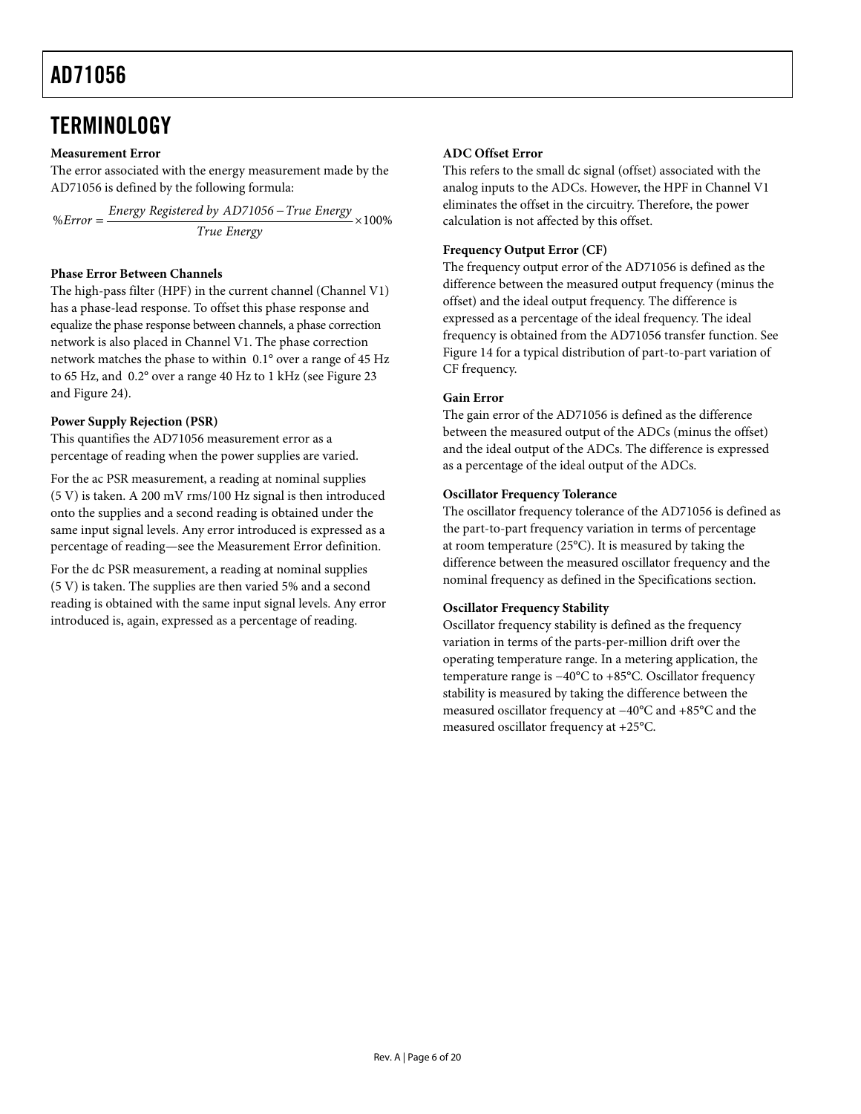### <span id="page-5-1"></span><span id="page-5-0"></span>**TERMINOLOGY**

### **Measurement Error**

The error associated with the energy measurement made by the AD71056 is defined by the following formula:

 $% Error = \frac{Energy\ Registered by AD71056 - True\ Energy}{{True\ Energy}} \times 100\%$ 

### **Phase Error Between Channels**

The high-pass filter (HPF) in the current channel (Channel V1) has a phase-lead response. To offset this phase response and equalize the phase response between channels, a phase correction network is also placed in Channel V1. The phase correction network matches the phase to within 0.1° over a range of 45 Hz to 65 Hz, and 0.2° over a range 40 Hz to 1 kHz (see [Figure 23](#page-12-1) and [Figure 24\)](#page-12-2).

### **Power Supply Rejection (PSR)**

This quantifies the AD71056 measurement error as a percentage of reading when the power supplies are varied.

For the ac PSR measurement, a reading at nominal supplies (5 V) is taken. A 200 mV rms/100 Hz signal is then introduced onto the supplies and a second reading is obtained under the same input signal levels. Any error introduced is expressed as a percentage of reading—see the Measurement Error definition.

For the dc PSR measurement, a reading at nominal supplies (5 V) is taken. The supplies are then varied 5% and a second reading is obtained with the same input signal levels. Any error introduced is, again, expressed as a percentage of reading.

### **ADC Offset Error**

This refers to the small dc signal (offset) associated with the analog inputs to the ADCs. However, the HPF in Channel V1 eliminates the offset in the circuitry. Therefore, the power calculation is not affected by this offset.

### **Frequency Output Error (CF)**

The frequency output error of the AD71056 is defined as the difference between the measured output frequency (minus the offset) and the ideal output frequency. The difference is expressed as a percentage of the ideal frequency. The ideal frequency is obtained from the AD71056 transfer function. See [Figure 14](#page-8-0) for a typical distribution of part-to-part variation of CF frequency.

### **Gain Error**

The gain error of the AD71056 is defined as the difference between the measured output of the ADCs (minus the offset) and the ideal output of the ADCs. The difference is expressed as a percentage of the ideal output of the ADCs.

### **Oscillator Frequency Tolerance**

The oscillator frequency tolerance of the AD71056 is defined as the part-to-part frequency variation in terms of percentage at room temperature (25°C). It is measured by taking the difference between the measured oscillator frequency and the nominal frequency as defined in the [Specifications](#page-2-1) section.

#### **Oscillator Frequency Stability**

Oscillator frequency stability is defined as the frequency variation in terms of the parts-per-million drift over the operating temperature range. In a metering application, the temperature range is −40°C to +85°C. Oscillator frequency stability is measured by taking the difference between the measured oscillator frequency at −40°C and +85°C and the measured oscillator frequency at +25°C.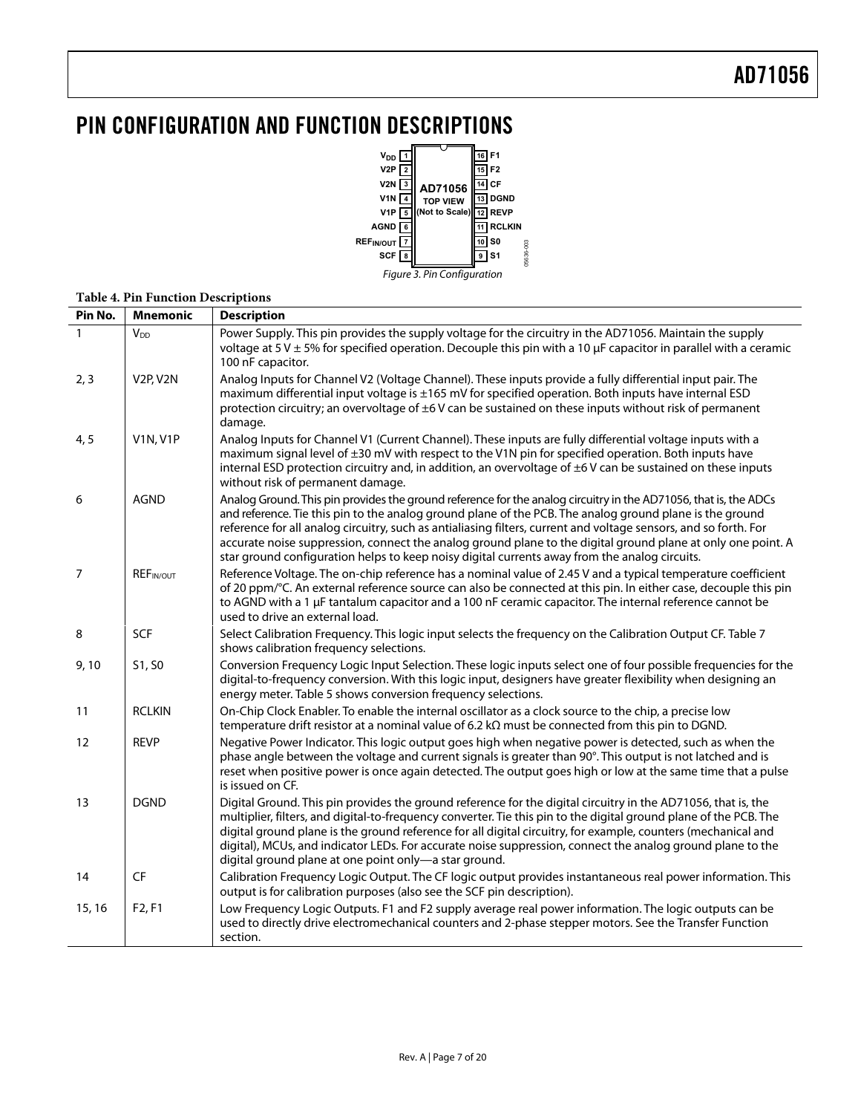# <span id="page-6-0"></span>PIN CONFIGURATION AND FUNCTION DESCRIPTIONS



#### **Table 4. Pin Function Descriptions**

| Pin No.        | <b>Mnemonic</b>                   | <b>Description</b>                                                                                                                                                                                                                                                                                                                                                                                                                                                                                                                                                |
|----------------|-----------------------------------|-------------------------------------------------------------------------------------------------------------------------------------------------------------------------------------------------------------------------------------------------------------------------------------------------------------------------------------------------------------------------------------------------------------------------------------------------------------------------------------------------------------------------------------------------------------------|
|                | <b>V<sub>DD</sub></b>             | Power Supply. This pin provides the supply voltage for the circuitry in the AD71056. Maintain the supply<br>voltage at $5$ V $\pm$ 5% for specified operation. Decouple this pin with a 10 $\mu$ F capacitor in parallel with a ceramic<br>100 nF capacitor.                                                                                                                                                                                                                                                                                                      |
| 2, 3           | V <sub>2P</sub> , V <sub>2N</sub> | Analog Inputs for Channel V2 (Voltage Channel). These inputs provide a fully differential input pair. The<br>maximum differential input voltage is ±165 mV for specified operation. Both inputs have internal ESD<br>protection circuitry; an overvoltage of $\pm 6$ V can be sustained on these inputs without risk of permanent<br>damage.                                                                                                                                                                                                                      |
| 4, 5           | <b>V1N, V1P</b>                   | Analog Inputs for Channel V1 (Current Channel). These inputs are fully differential voltage inputs with a<br>maximum signal level of ±30 mV with respect to the V1N pin for specified operation. Both inputs have<br>internal ESD protection circuitry and, in addition, an overvoltage of ±6V can be sustained on these inputs<br>without risk of permanent damage.                                                                                                                                                                                              |
| 6              | <b>AGND</b>                       | Analog Ground. This pin provides the ground reference for the analog circuitry in the AD71056, that is, the ADCs<br>and reference. Tie this pin to the analog ground plane of the PCB. The analog ground plane is the ground<br>reference for all analog circuitry, such as antialiasing filters, current and voltage sensors, and so forth. For<br>accurate noise suppression, connect the analog ground plane to the digital ground plane at only one point. A<br>star ground configuration helps to keep noisy digital currents away from the analog circuits. |
| $\overline{7}$ | <b>REFIN/OUT</b>                  | Reference Voltage. The on-chip reference has a nominal value of 2.45 V and a typical temperature coefficient<br>of 20 ppm/°C. An external reference source can also be connected at this pin. In either case, decouple this pin<br>to AGND with a 1 µF tantalum capacitor and a 100 nF ceramic capacitor. The internal reference cannot be<br>used to drive an external load.                                                                                                                                                                                     |
| 8              | <b>SCF</b>                        | Select Calibration Frequency. This logic input selects the frequency on the Calibration Output CF. Table 7<br>shows calibration frequency selections.                                                                                                                                                                                                                                                                                                                                                                                                             |
| 9,10           | S1, S0                            | Conversion Frequency Logic Input Selection. These logic inputs select one of four possible frequencies for the<br>digital-to-frequency conversion. With this logic input, designers have greater flexibility when designing an<br>energy meter. Table 5 shows conversion frequency selections.                                                                                                                                                                                                                                                                    |
| 11             | <b>RCLKIN</b>                     | On-Chip Clock Enabler. To enable the internal oscillator as a clock source to the chip, a precise low<br>temperature drift resistor at a nominal value of 6.2 $k\Omega$ must be connected from this pin to DGND.                                                                                                                                                                                                                                                                                                                                                  |
| 12             | <b>REVP</b>                       | Negative Power Indicator. This logic output goes high when negative power is detected, such as when the<br>phase angle between the voltage and current signals is greater than 90°. This output is not latched and is<br>reset when positive power is once again detected. The output goes high or low at the same time that a pulse<br>is issued on CF.                                                                                                                                                                                                          |
| 13             | <b>DGND</b>                       | Digital Ground. This pin provides the ground reference for the digital circuitry in the AD71056, that is, the<br>multiplier, filters, and digital-to-frequency converter. Tie this pin to the digital ground plane of the PCB. The<br>digital ground plane is the ground reference for all digital circuitry, for example, counters (mechanical and<br>digital), MCUs, and indicator LEDs. For accurate noise suppression, connect the analog ground plane to the<br>digital ground plane at one point only-a star ground.                                        |
| 14             | $\mathsf{C}\mathsf{F}$            | Calibration Frequency Logic Output. The CF logic output provides instantaneous real power information. This<br>output is for calibration purposes (also see the SCF pin description).                                                                                                                                                                                                                                                                                                                                                                             |
| 15, 16         | F <sub>2</sub> , F <sub>1</sub>   | Low Frequency Logic Outputs. F1 and F2 supply average real power information. The logic outputs can be<br>used to directly drive electromechanical counters and 2-phase stepper motors. See the Transfer Function<br>section.                                                                                                                                                                                                                                                                                                                                     |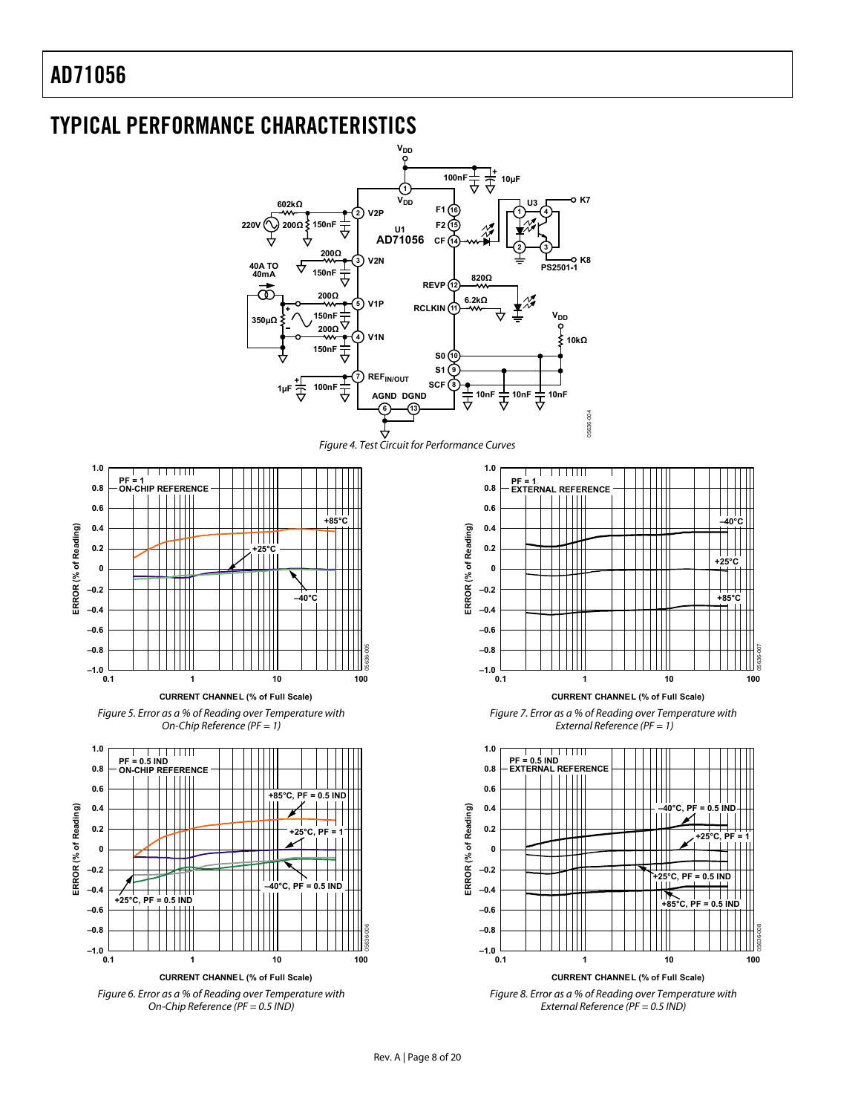<span id="page-7-1"></span><span id="page-7-0"></span>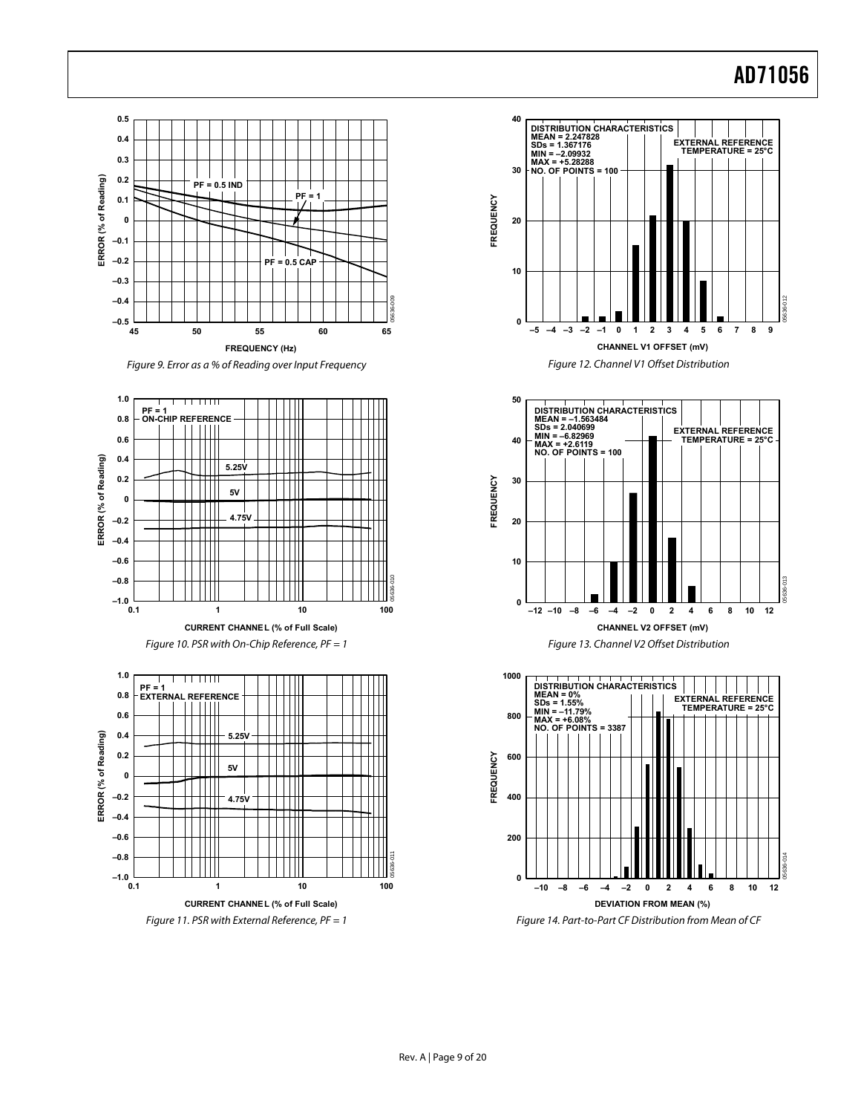<span id="page-8-0"></span>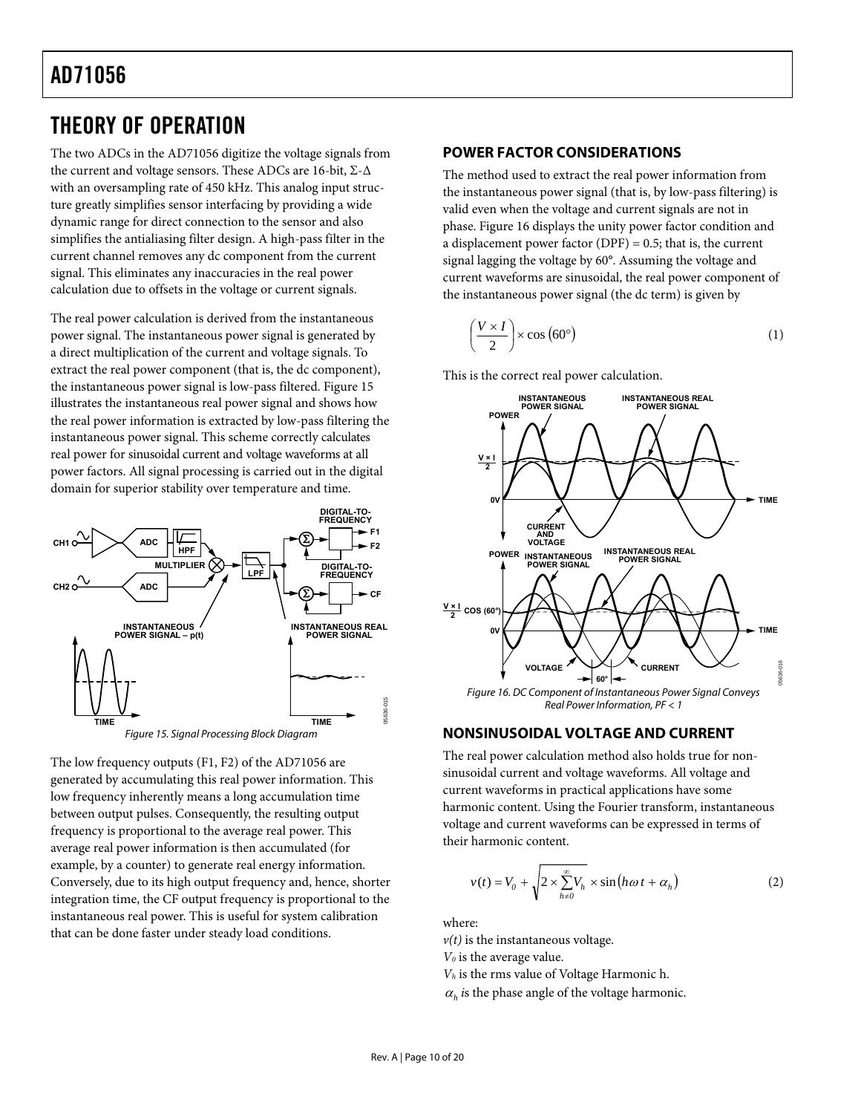## <span id="page-9-2"></span><span id="page-9-0"></span>THEORY OF OPERATION

The two ADCs in the AD71056 digitize the voltage signals from the current and voltage sensors. These ADCs are 16-bit, Σ-Δ with an oversampling rate of 450 kHz. This analog input structure greatly simplifies sensor interfacing by providing a wide dynamic range for direct connection to the sensor and also simplifies the antialiasing filter design. A high-pass filter in the current channel removes any dc component from the current signal. This eliminates any inaccuracies in the real power calculation due to offsets in the voltage or current signals.

The real power calculation is derived from the instantaneous power signal. The instantaneous power signal is generated by a direct multiplication of the current and voltage signals. To extract the real power component (that is, the dc component), the instantaneous power signal is low-pass filtered. [Figure 15](#page-9-1) illustrates the instantaneous real power signal and shows how the real power information is extracted by low-pass filtering the instantaneous power signal. This scheme correctly calculates real power for sinusoidal current and voltage waveforms at all power factors. All signal processing is carried out in the digital domain for superior stability over temperature and time.





<span id="page-9-1"></span>The low frequency outputs (F1, F2) of the AD71056 are generated by accumulating this real power information. This low frequency inherently means a long accumulation time between output pulses. Consequently, the resulting output frequency is proportional to the average real power. This average real power information is then accumulated (for example, by a counter) to generate real energy information. Conversely, due to its high output frequency and, hence, shorter integration time, the CF output frequency is proportional to the instantaneous real power. This is useful for system calibration that can be done faster under steady load conditions.

### **POWER FACTOR CONSIDERATIONS**

The method used to extract the real power information from the instantaneous power signal (that is, by low-pass filtering) is valid even when the voltage and current signals are not in phase. Figure 16 displays the unity power factor condition and a displacement power factor  $(DPF) = 0.5$ ; that is, the current signal lagging the voltage by 60°. Assuming the voltage and current waveforms are sinusoidal, the real power component of the instantaneous power signal (the dc term) is given by

$$
\left(\frac{V \times I}{2}\right) \times \cos\left(60^{\circ}\right) \tag{1}
$$

This is the correct real power calculation.



### **NONSINUSOIDAL VOLTAGE AND CURRENT**

The real power calculation method also holds true for nonsinusoidal current and voltage waveforms. All voltage and current waveforms in practical applications have some harmonic content. Using the Fourier transform, instantaneous voltage and current waveforms can be expressed in terms of their harmonic content.

$$
v(t) = V_0 + \sqrt{2 \times \sum_{h \neq 0}^{\infty} V_h} \times \sin(h\omega t + \alpha_h)
$$
 (2)

where:

 $v(t)$  is the instantaneous voltage.

*V0* is the average value.

*Vh* is the rms value of Voltage Harmonic h.

 $\alpha_h$  *i*s the phase angle of the voltage harmonic.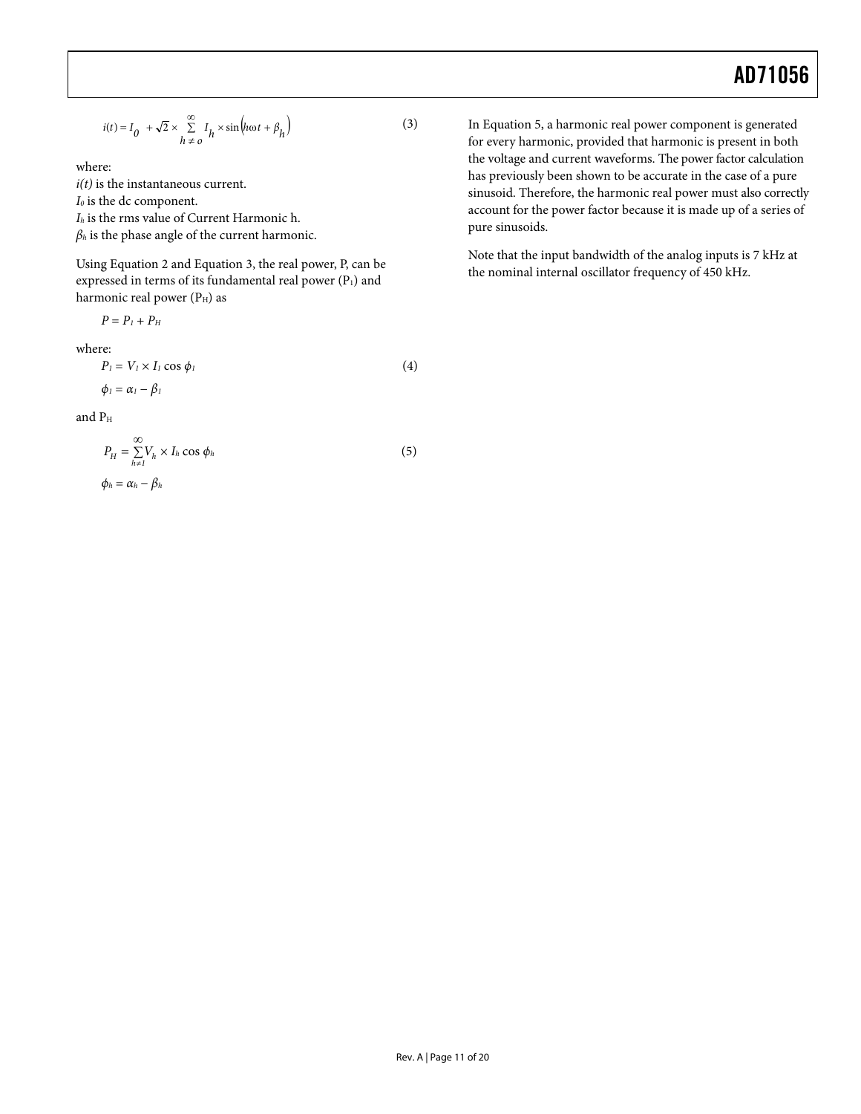$$
i(t) = I_0 + \sqrt{2} \times \sum_{h=0}^{\infty} I_h \times \sin\left(h\omega t + \beta_h\right)
$$
 (3)

where:

 $i(t)$  is the instantaneous current.

*I0* is the dc component.

*Ih* is the rms value of Current Harmonic h.

*βh* is the phase angle of the current harmonic.

Usin[g Equation 2 a](#page-9-2)nd Equation 3, the real power, P, can be expressed in terms of its fundamental real power  $(P_1)$  and harmonic real power  $(P<sub>H</sub>)$  as

$$
P=P_l+P_H
$$

where:

$$
P_l = V_l \times I_l \cos \phi_l
$$
  
\n
$$
\phi_l = \alpha_l - \beta_l
$$
\n(4)

$$
\text{and } P_{\rm H}
$$

$$
P_H = \sum_{h=1}^{\infty} V_h \times I_h \cos \phi_h
$$
  
\n
$$
\phi_h = \alpha_h - \beta_h
$$
\n(5)

In Equation 5, a harmonic real power component is generated for every harmonic, provided that harmonic is present in both the voltage and current waveforms. The power factor calculation has previously been shown to be accurate in the case of a pure sinusoid. Therefore, the harmonic real power must also correctly account for the power factor because it is made up of a series of pure sinusoids.

Note that the input bandwidth of the analog inputs is 7 kHz at the nominal internal oscillator frequency of 450 kHz.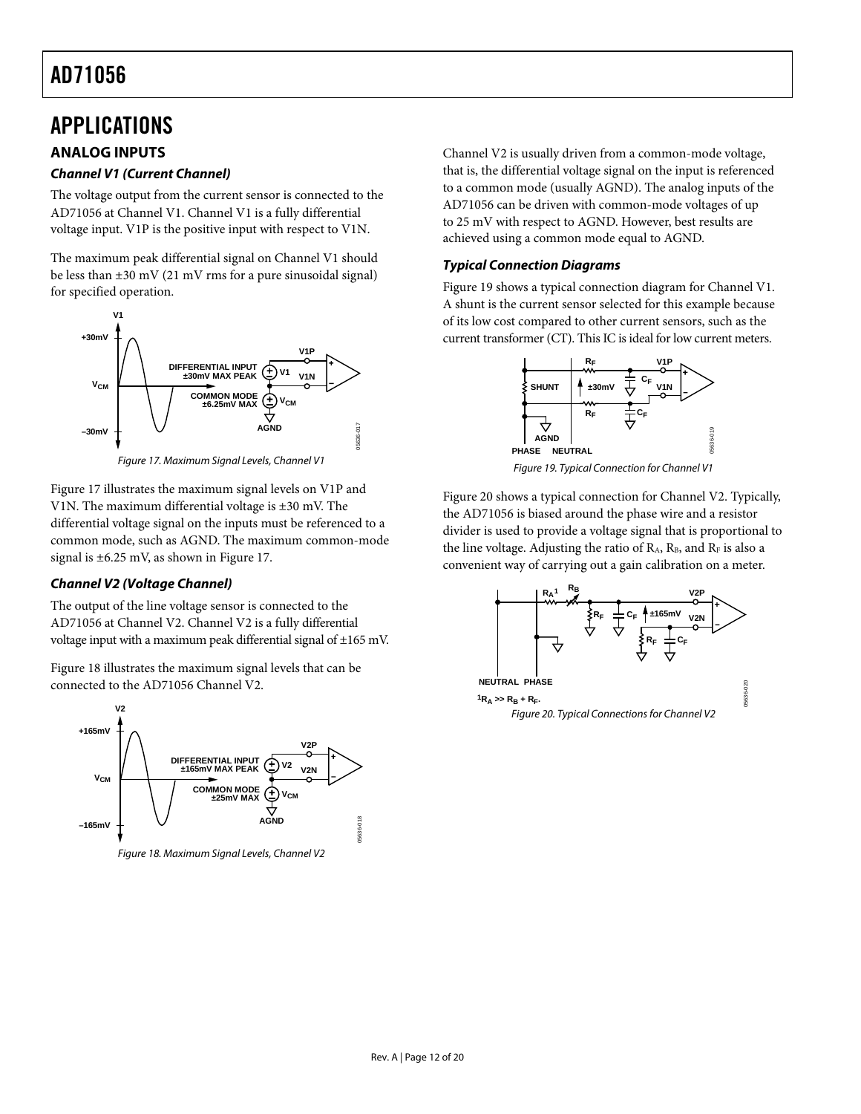### <span id="page-11-1"></span><span id="page-11-0"></span>APPLICATIONS

### **ANALOG INPUTS**

### **Channel V1 (Current Channel)**

The voltage output from the current sensor is connected to the AD71056 at Channel V1. Channel V1 is a fully differential voltage input. V1P is the positive input with respect to V1N.

The maximum peak differential signal on Channel V1 should be less than  $\pm 30$  mV (21 mV rms for a pure sinusoidal signal) for specified operation.



Figure 17. Maximum Signal Levels, Channel V1

<span id="page-11-3"></span><span id="page-11-2"></span>[Figure 17](#page-11-2) illustrates the maximum signal levels on V1P and V1N. The maximum differential voltage is ±30 mV. The differential voltage signal on the inputs must be referenced to a common mode, such as AGND. The maximum common-mode signal is ±6.25 mV, as shown in [Figure 17.](#page-11-2)

### **Channel V2 (Voltage Channel)**

The output of the line voltage sensor is connected to the AD71056 at Channel V2. Channel V2 is a fully differential voltage input with a maximum peak differential signal of ±165 mV.

Figure 18 illustrates the maximum signal levels that can be connected to the AD71056 Channel V2.

<span id="page-11-4"></span>

Figure 18. Maximum Signal Levels, Channel V2

Channel V2 is usually driven from a common-mode voltage, that is, the differential voltage signal on the input is referenced to a common mode (usually AGND). The analog inputs of the AD71056 can be driven with common-mode voltages of up to 25 mV with respect to AGND. However, best results are achieved using a common mode equal to AGND.

### **Typical Connection Diagrams**

[Figure 19](#page-11-3) shows a typical connection diagram for Channel V1. A shunt is the current sensor selected for this example because of its low cost compared to other current sensors, such as the current transformer (CT). This IC is ideal for low current meters.



Figure 19. Typical Connection for Channel V1

[Figure 20](#page-11-4) shows a typical connection for Channel V2. Typically, the AD71056 is biased around the phase wire and a resistor divider is used to provide a voltage signal that is proportional to the line voltage. Adjusting the ratio of  $R_A$ ,  $R_B$ , and  $R_F$  is also a convenient way of carrying out a gain calibration on a meter.

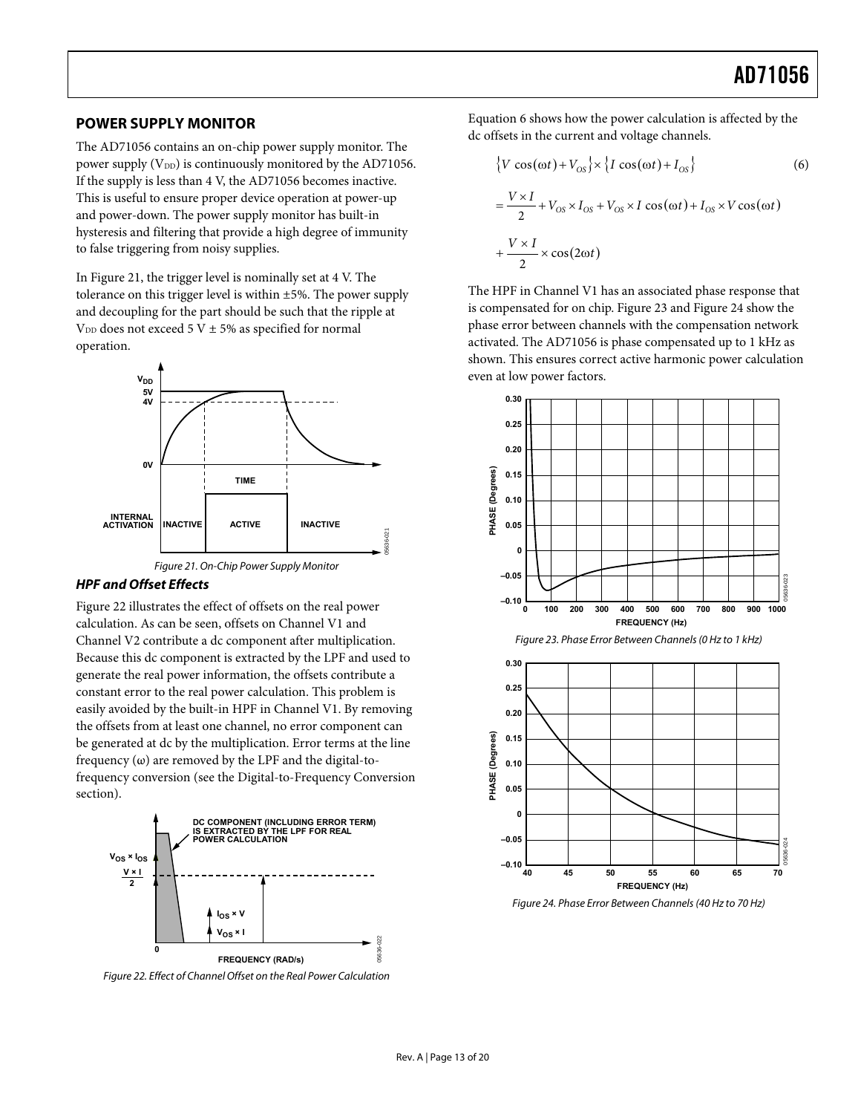### <span id="page-12-0"></span>**POWER SUPPLY MONITOR**

The AD71056 contains an on-chip power supply monitor. The power supply  $(V_{DD})$  is continuously monitored by the AD71056. If the supply is less than 4 V, the AD71056 becomes inactive. This is useful to ensure proper device operation at power-up and power-down. The power supply monitor has built-in hysteresis and filtering that provide a high degree of immunity to false triggering from noisy supplies.

In [Figure 21](#page-12-3), the trigger level is nominally set at 4 V. The tolerance on this trigger level is within ±5%. The power supply and decoupling for the part should be such that the ripple at V<sub>DD</sub> does not exceed 5 V  $\pm$  5% as specified for normal operation.





#### <span id="page-12-3"></span>**HPF and Offset Effects**

<span id="page-12-1"></span>[Figure 22](#page-12-4) illustrates the effect of offsets on the real power calculation. As can be seen, offsets on Channel V1 and Channel V2 contribute a dc component after multiplication. Because this dc component is extracted by the LPF and used to generate the real power information, the offsets contribute a constant error to the real power calculation. This problem is easily avoided by the built-in HPF in Channel V1. By removing the offsets from at least one channel, no error component can be generated at dc by the multiplication. Error terms at the line frequency  $(\omega)$  are removed by the LPF and the digital-tofrequency conversion (see the [Digital-to-Frequency Conversion](#page-13-0) section).



<span id="page-12-4"></span><span id="page-12-2"></span>Figure 22. Effect of Channel Offset on the Real Power Calculation

Equation 6 shows how the power calculation is affected by the dc offsets in the current and voltage channels.

$$
\{V\cos(\omega t) + V_{OS}\} \times \{I\cos(\omega t) + I_{OS}\}\
$$
\n
$$
= \frac{V \times I}{2} + V_{OS} \times I_{OS} + V_{OS} \times I\cos(\omega t) + I_{OS} \times V\cos(\omega t)
$$
\n
$$
+ \frac{V \times I}{2} \times \cos(2\omega t)
$$
\n(6)

The HPF in Channel V1 has an associated phase response that is compensated for on chip. [Figure 23](#page-12-1) and [Figure 24](#page-12-2) show the phase error between channels with the compensation network activated. The AD71056 is phase compensated up to 1 kHz as shown. This ensures correct active harmonic power calculation even at low power factors.



Figure 24. Phase Error Between Channels (40 Hz to 70 Hz)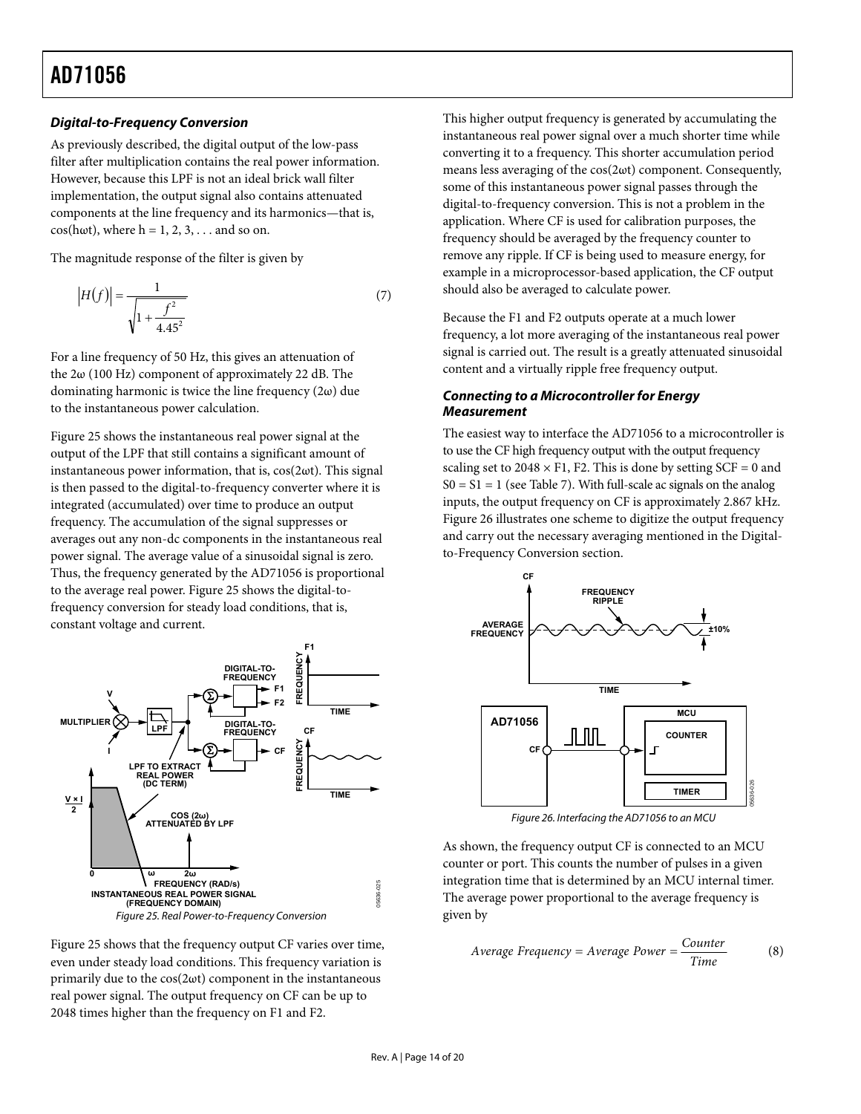#### <span id="page-13-0"></span>**Digital-to-Frequency Conversion**

As previously described, the digital output of the low-pass filter after multiplication contains the real power information. However, because this LPF is not an ideal brick wall filter implementation, the output signal also contains attenuated components at the line frequency and its harmonics—that is,  $cos(h\omega t)$ , where  $h = 1, 2, 3, \ldots$  and so on.

The magnitude response of the filter is given by

$$
|H(f)| = \frac{1}{\sqrt{1 + \frac{f^2}{4.45^2}}}
$$
 (7)

For a line frequency of 50 Hz, this gives an attenuation of the  $2\omega$  (100 Hz) component of approximately 22 dB. The dominating harmonic is twice the line frequency (2ω) due to the instantaneous power calculation.

[Figure 25](#page-13-1) shows the instantaneous real power signal at the output of the LPF that still contains a significant amount of instantaneous power information, that is,  $cos(2\omega t)$ . This signal is then passed to the digital-to-frequency converter where it is integrated (accumulated) over time to produce an output frequency. The accumulation of the signal suppresses or averages out any non-dc components in the instantaneous real power signal. The average value of a sinusoidal signal is zero. Thus, the frequency generated by the AD71056 is proportional to the average real power. [Figure 25](#page-13-1) shows the digital-tofrequency conversion for steady load conditions, that is, constant voltage and current.



<span id="page-13-2"></span><span id="page-13-1"></span>Figure 25 shows that the frequency output CF varies over time, even under steady load conditions. This frequency variation is primarily due to the  $cos(2\omega t)$  component in the instantaneous real power signal. The output frequency on CF can be up to 2048 times higher than the frequency on F1 and F2.

This higher output frequency is generated by accumulating the instantaneous real power signal over a much shorter time while converting it to a frequency. This shorter accumulation period means less averaging of the cos(2ωt) component. Consequently, some of this instantaneous power signal passes through the digital-to-frequency conversion. This is not a problem in the application. Where CF is used for calibration purposes, the frequency should be averaged by the frequency counter to remove any ripple. If CF is being used to measure energy, for example in a microprocessor-based application, the CF output should also be averaged to calculate power.

Because the F1 and F2 outputs operate at a much lower frequency, a lot more averaging of the instantaneous real power signal is carried out. The result is a greatly attenuated sinusoidal content and a virtually ripple free frequency output.

#### **Connecting to a Microcontroller for Energy Measurement**

The easiest way to interface the AD71056 to a microcontroller is to use the CF high frequency output with the output frequency scaling set to  $2048 \times F1$ , F2. This is done by setting SCF = 0 and  $S0 = S1 = 1$  (see [Table 7](#page-15-2)). With full-scale ac signals on the analog inputs, the output frequency on CF is approximately 2.867 kHz. [Figure 26](#page-13-2) illustrates one scheme to digitize the output frequency and carry out the necessary averaging mentioned in the [Digital](#page-13-0)[to-Frequency Conversion](#page-13-0) section.



Figure 26. Interfacing the AD71056 to an MCU

As shown, the frequency output CF is connected to an MCU counter or port. This counts the number of pulses in a given integration time that is determined by an MCU internal timer. The average power proportional to the average frequency is given by

$$
Average Frequency = Average Power = \frac{Counter}{Time}
$$
 (8)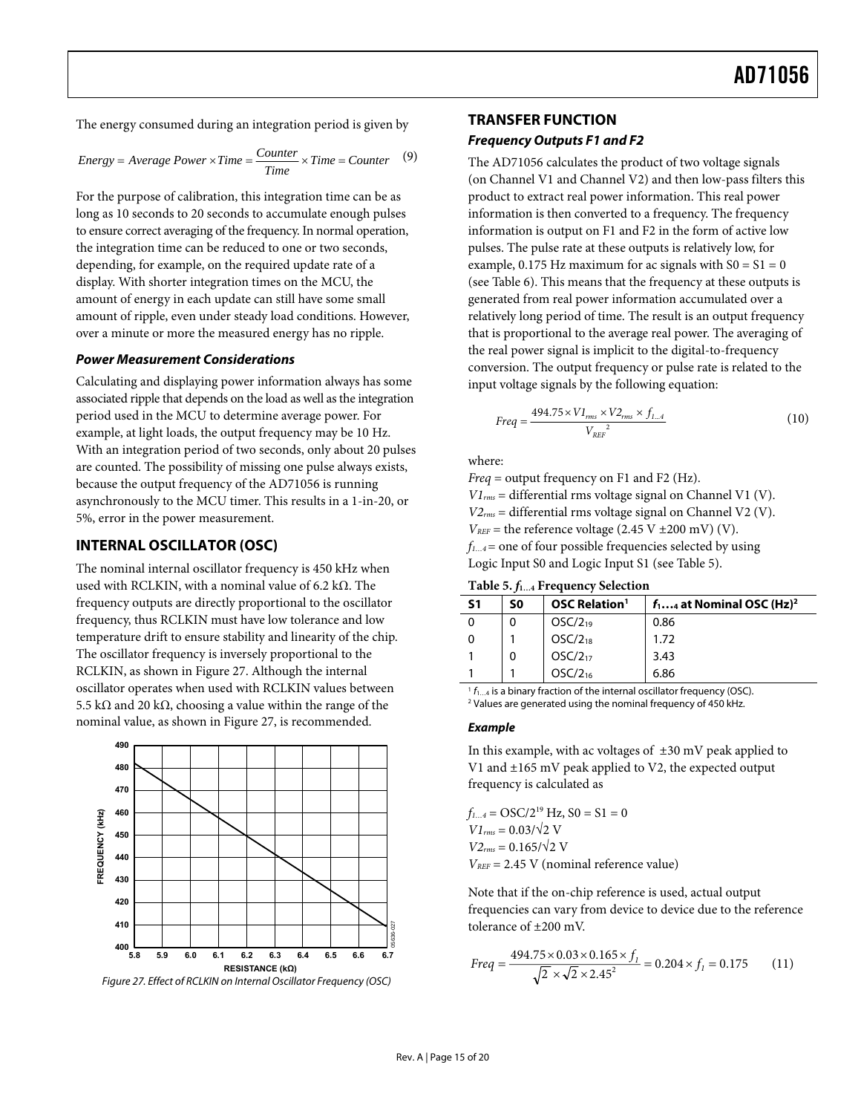<span id="page-14-1"></span><span id="page-14-0"></span>The energy consumed during an integration period is given by

Energy = Average Power × Time = 
$$
\frac{Counter}{Time} \times Time = Counter
$$
 (9)

For the purpose of calibration, this integration time can be as long as 10 seconds to 20 seconds to accumulate enough pulses to ensure correct averaging of the frequency. In normal operation, the integration time can be reduced to one or two seconds, depending, for example, on the required update rate of a display. With shorter integration times on the MCU, the amount of energy in each update can still have some small amount of ripple, even under steady load conditions. However, over a minute or more the measured energy has no ripple.

#### **Power Measurement Considerations**

Calculating and displaying power information always has some associated ripple that depends on the load as well as the integration period used in the MCU to determine average power. For example, at light loads, the output frequency may be 10 Hz. With an integration period of two seconds, only about 20 pulses are counted. The possibility of missing one pulse always exists, because the output frequency of the AD71056 is running asynchronously to the MCU timer. This results in a 1-in-20, or 5%, error in the power measurement.

### **INTERNAL OSCILLATOR (OSC)**

<span id="page-14-2"></span>The nominal internal oscillator frequency is 450 kHz when used with RCLKIN, with a nominal value of 6.2 kΩ. The frequency outputs are directly proportional to the oscillator frequency, thus RCLKIN must have low tolerance and low temperature drift to ensure stability and linearity of the chip. The oscillator frequency is inversely proportional to the RCLKIN, as shown in [Figure 27](#page-14-3). Although the internal oscillator operates when used with RCLKIN values between 5.5 kΩ and 20 kΩ, choosing a value within the range of the nominal value, as shown in [Figure 27,](#page-14-3) is recommended.



<span id="page-14-3"></span>Figure 27. Effect of RCLKIN on Internal Oscillator Frequency (OSC)

#### **TRANSFER FUNCTION**

#### **Frequency Outputs F1 and F2**

The AD71056 calculates the product of two voltage signals (on Channel V1 and Channel V2) and then low-pass filters this product to extract real power information. This real power information is then converted to a frequency. The frequency information is output on F1 and F2 in the form of active low pulses. The pulse rate at these outputs is relatively low, for example, 0.175 Hz maximum for ac signals with  $S0 = S1 = 0$ (see [Table 6](#page-15-1)). This means that the frequency at these outputs is generated from real power information accumulated over a relatively long period of time. The result is an output frequency that is proportional to the average real power. The averaging of the real power signal is implicit to the digital-to-frequency conversion. The output frequency or pulse rate is related to the input voltage signals by the following equation:

$$
Freq = \frac{494.75 \times VI_{rms} \times V2_{rms} \times f_{1...4}}{V_{REF}^2}
$$
 (10)

where:

*Freq* = output frequency on F1 and F2 (Hz). *V1rms* = differential rms voltage signal on Channel V1 (V). *V2rms* = differential rms voltage signal on Channel V2 (V).  $V_{REF}$  = the reference voltage (2.45 V  $\pm$ 200 mV) (V). *f1…4*= one of four possible frequencies selected by using Logic Input S0 and Logic Input S1 (see [Table 5](#page-14-2)).

**Table 5.** *f***1…4 Frequency Selection** 

| S <sub>1</sub> | S0 | <b>OSC Relation</b> <sup>1</sup> | $f_1$ at Nominal OSC (Hz) <sup>2</sup> |
|----------------|----|----------------------------------|----------------------------------------|
| 0              |    | OSC/2 <sub>19</sub>              | 0.86                                   |
|                |    | $OSC/2_{18}$                     | 1.72                                   |
|                |    | $OSC/2_{17}$                     | 3.43                                   |
|                |    | OSC/2 <sub>16</sub>              | 6.86                                   |

 $1 f_{1...4}$  is a binary fraction of the internal oscillator frequency (OSC). <sup>2</sup> Values are generated using the nominal frequency of 450 kHz.

#### **Example**

In this example, with ac voltages of  $\pm 30$  mV peak applied to V1 and ±165 mV peak applied to V2, the expected output frequency is calculated as

 $f_{1...4} = \text{OSC}/2^{19}$  Hz,  $S0 = S1 = 0$  $VI_{rms} = 0.03/\sqrt{2}$  V  $V2_{rms} = 0.165/\sqrt{2}$  V *VREF* = 2.45 V (nominal reference value)

Note that if the on-chip reference is used, actual output frequencies can vary from device to device due to the reference tolerance of ±200 mV.

$$
Freq = \frac{494.75 \times 0.03 \times 0.165 \times f_1}{\sqrt{2} \times \sqrt{2} \times 2.45^2} = 0.204 \times f_1 = 0.175
$$
 (11)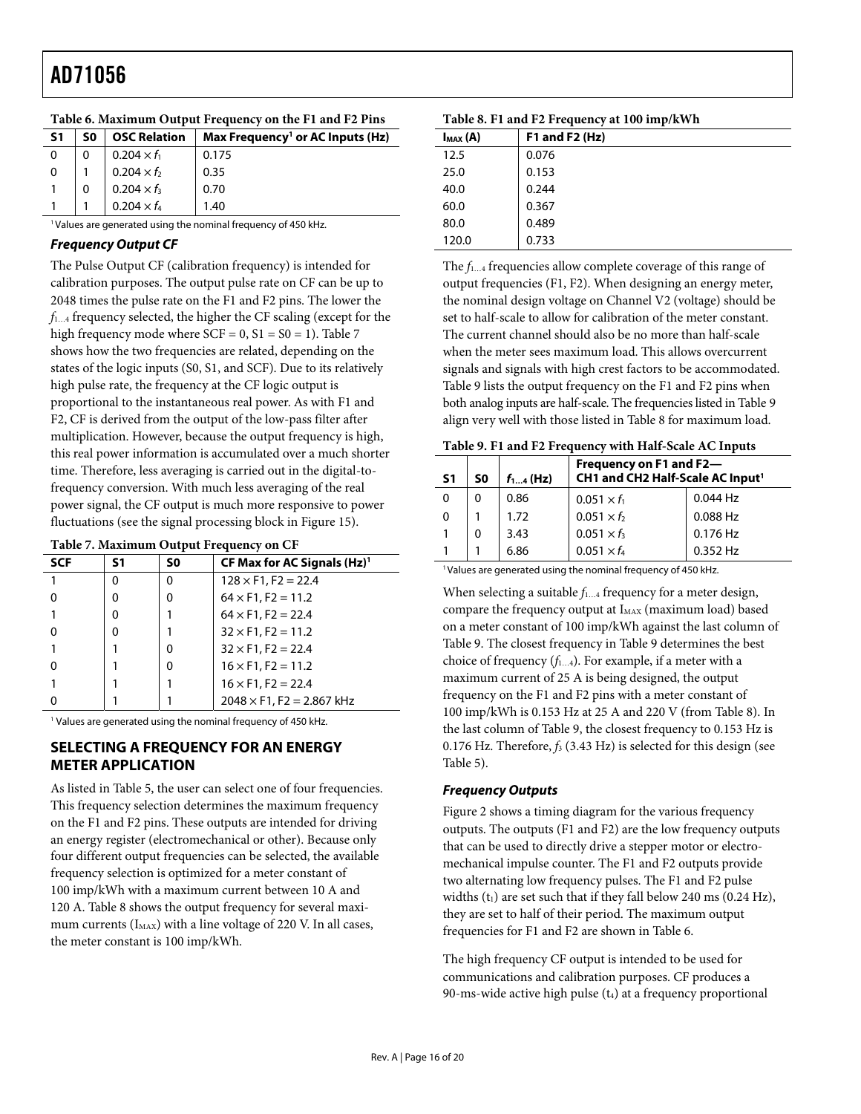<span id="page-15-1"></span>

| S1 | S0 | <b>OSC Relation</b> | Max Frequency <sup>1</sup> or AC Inputs (Hz) |
|----|----|---------------------|----------------------------------------------|
| 0  |    | $0.204 \times f_1$  | 0.175                                        |
| 0  |    | $0.204 \times f_2$  | 0.35                                         |
|    |    | $0.204 \times f_3$  | 0.70                                         |
|    |    | $0.204 \times f_4$  | 1.40                                         |

<span id="page-15-3"></span><span id="page-15-0"></span>**Table 6. Maximum Output Frequency on the F1 and F2 Pins** 

<sup>1</sup> Values are generated using the nominal frequency of 450 kHz.

#### **Frequency Output CF**

The Pulse Output CF (calibration frequency) is intended for calibration purposes. The output pulse rate on CF can be up to 2048 times the pulse rate on the F1 and F2 pins. The lower the *f*1…4 frequency selected, the higher the CF scaling (except for the high frequency mode where  $SCF = 0$ ,  $S1 = S0 = 1$ ). [Table 7](#page-15-2) shows how the two frequencies are related, depending on the states of the logic inputs (S0, S1, and SCF). Due to its relatively high pulse rate, the frequency at the CF logic output is proportional to the instantaneous real power. As with F1 and F2, CF is derived from the output of the low-pass filter after multiplication. However, because the output frequency is high, this real power information is accumulated over a much shorter time. Therefore, less averaging is carried out in the digital-tofrequency conversion. With much less averaging of the real power signal, the CF output is much more responsive to power fluctuations (see the signal processing block in [Figure 15\)](#page-9-1).

<span id="page-15-4"></span>

<span id="page-15-2"></span>

| ruole / Makhmuni vulput rivquene, on or |    |    |                                   |
|-----------------------------------------|----|----|-----------------------------------|
| <b>SCF</b>                              | S1 | S0 | CF Max for AC Signals $(Hz)^{1}$  |
|                                         | o  | O  | $128 \times F1$ , F2 = 22.4       |
|                                         | ŋ  | 0  | $64 \times F1$ , F2 = 11.2        |
|                                         | ŋ  |    | $64 \times F1$ , F2 = 22.4        |
|                                         | ŋ  |    | $32 \times F1$ , F2 = 11.2        |
|                                         |    | O  | $32 \times F1$ , F2 = 22.4        |
|                                         |    | Ω  | $16 \times F1$ , F2 = 11.2        |
|                                         |    |    | $16 \times F1$ , F2 = 22.4        |
|                                         |    |    | $2048 \times F1$ , F2 = 2.867 kHz |

<sup>1</sup> Values are generated using the nominal frequency of 450 kHz.

### **SELECTING A FREQUENCY FOR AN ENERGY METER APPLICATION**

As listed in [Table 5](#page-14-2), the user can select one of four frequencies. This frequency selection determines the maximum frequency on the F1 and F2 pins. These outputs are intended for driving an energy register (electromechanical or other). Because only four different output frequencies can be selected, the available frequency selection is optimized for a meter constant of 100 imp/kWh with a maximum current between 10 A and 120 A. [Table 8](#page-15-1) shows the output frequency for several maximum currents  $(I_{MAX})$  with a line voltage of 220 V. In all cases, the meter constant is 100 imp/kWh.

| Table 8. F1 and F2 Frequency at 100 imp/kWh |                  |  |  |  |
|---------------------------------------------|------------------|--|--|--|
| $max(A)$                                    | F1 and F2 $(Hz)$ |  |  |  |
| 12.5                                        | 0.076            |  |  |  |
| 25.0                                        | 0.153            |  |  |  |
| 40.0                                        | 0.244            |  |  |  |
| 60.0                                        | 0.367            |  |  |  |
| 80.0                                        | 0.489            |  |  |  |
| 120.0                                       | 0.733            |  |  |  |

The *f*1…4 frequencies allow complete coverage of this range of output frequencies (F1, F2). When designing an energy meter, the nominal design voltage on Channel V2 (voltage) should be set to half-scale to allow for calibration of the meter constant. The current channel should also be no more than half-scale when the meter sees maximum load. This allows overcurrent signals and signals with high crest factors to be accommodated. [Table 9](#page-15-4) lists the output frequency on the F1 and F2 pins when both analog inputs are half-scale. The frequencies listed in [Table 9](#page-15-4) align very well with those listed in [Table 8](#page-15-1) for maximum load.

| Table 9. F1 and F2 Frequency with Half-Scale AC Inputs |  |
|--------------------------------------------------------|--|
|--------------------------------------------------------|--|

| Twore seen and restrictive with their occurs tro impact |          |               |                                                                         |            |  |  |  |
|---------------------------------------------------------|----------|---------------|-------------------------------------------------------------------------|------------|--|--|--|
| <b>S1</b>                                               | S0       | $f_{14}$ (Hz) | Frequency on F1 and F2-<br>CH1 and CH2 Half-Scale AC Input <sup>1</sup> |            |  |  |  |
| 0                                                       | $\Omega$ | 0.86          | $0.051 \times f_1$                                                      | $0.044$ Hz |  |  |  |
| 0                                                       |          | 1.72          | $0.051 \times f_2$                                                      | 0.088 Hz   |  |  |  |
|                                                         | 0        | 3.43          | $0.051 \times f_3$                                                      | 0.176 Hz   |  |  |  |
|                                                         |          | 6.86          | $0.051 \times f_4$                                                      | $0.352$ Hz |  |  |  |
|                                                         |          |               |                                                                         |            |  |  |  |

<sup>1</sup> Values are generated using the nominal frequency of 450 kHz.

When selecting a suitable  $f_{1...4}$  frequency for a meter design, compare the frequency output at I<sub>MAX</sub> (maximum load) based on a meter constant of 100 imp/kWh against the last column of [Table 9](#page-15-4). The closest frequency in [Table 9](#page-15-4) determines the best choice of frequency  $(f_{1...4})$ . For example, if a meter with a maximum current of 25 A is being designed, the output frequency on the F1 and F2 pins with a meter constant of 100 imp/kWh is 0.153 Hz at 25 A and 220 V (from [Table 8](#page-15-1)). In the last column of [Table 9](#page-15-4), the closest frequency to 0.153 Hz is 0.176 Hz. Therefore, *f*3 (3.43 Hz) is selected for this design (see [Table 5](#page-14-2)).

#### **Frequency Outputs**

[Figure 2](#page-3-1) shows a timing diagram for the various frequency outputs. The outputs (F1 and F2) are the low frequency outputs that can be used to directly drive a stepper motor or electromechanical impulse counter. The F1 and F2 outputs provide two alternating low frequency pulses. The F1 and F2 pulse widths  $(t_1)$  are set such that if they fall below 240 ms (0.24 Hz), they are set to half of their period. The maximum output frequencies for F1 and F2 are shown in [Table 6](#page-15-1).

The high frequency CF output is intended to be used for communications and calibration purposes. CF produces a 90-ms-wide active high pulse  $(t_4)$  at a frequency proportional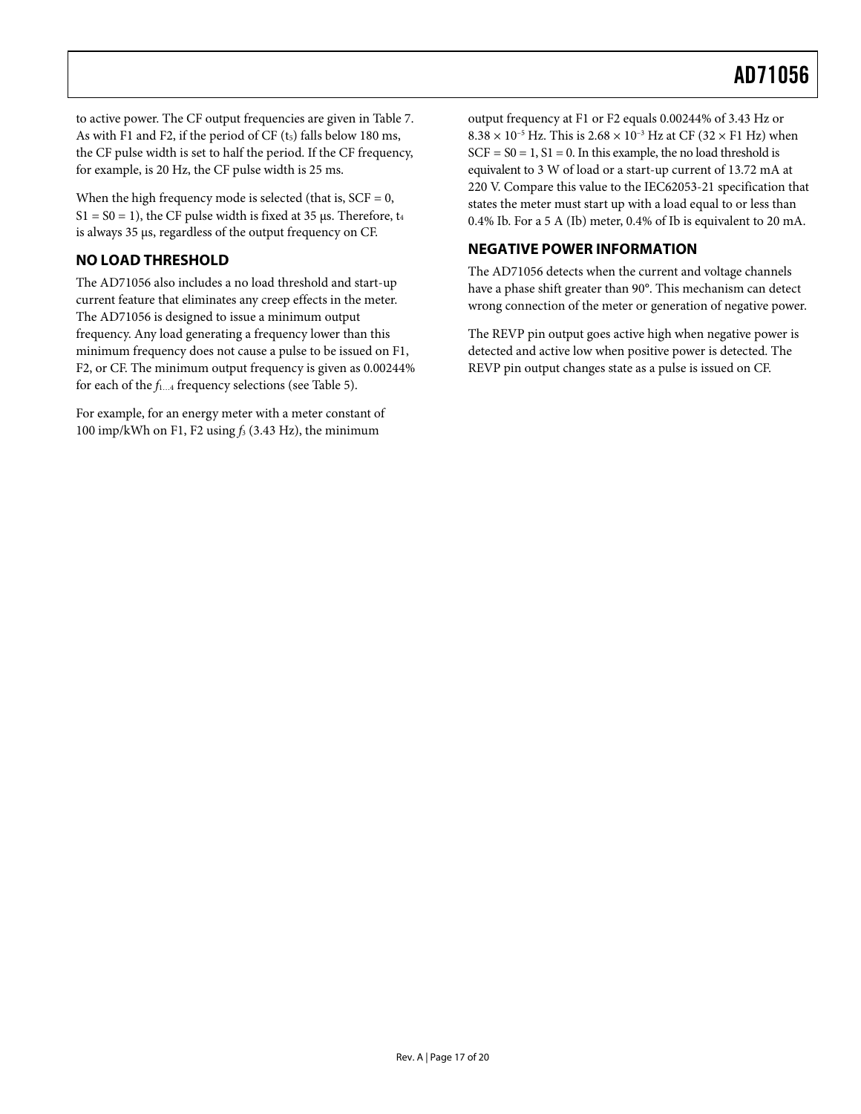<span id="page-16-0"></span>to active power. The CF output frequencies are given in [Table 7](#page-15-2). As with F1 and F2, if the period of CF  $(t<sub>5</sub>)$  falls below 180 ms, the CF pulse width is set to half the period. If the CF frequency, for example, is 20 Hz, the CF pulse width is 25 ms.

When the high frequency mode is selected (that is,  $SCF = 0$ ,  $S1 = S0 = 1$ , the CF pulse width is fixed at 35 μs. Therefore,  $t_4$ is always 35 μs, regardless of the output frequency on CF.

### **NO LOAD THRESHOLD**

The AD71056 also includes a no load threshold and start-up current feature that eliminates any creep effects in the meter. The AD71056 is designed to issue a minimum output frequency. Any load generating a frequency lower than this minimum frequency does not cause a pulse to be issued on F1, F2, or CF. The minimum output frequency is given as 0.00244% for each of the *f*1…4 frequency selections (see [Table 5](#page-14-2)).

For example, for an energy meter with a meter constant of 100 imp/kWh on F1, F2 using *f*3 (3.43 Hz), the minimum

output frequency at F1 or F2 equals 0.00244% of 3.43 Hz or  $8.38 \times 10^{-5}$  Hz. This is  $2.68 \times 10^{-3}$  Hz at CF (32  $\times$  F1 Hz) when  $SCF = SO = 1, S1 = 0$ . In this example, the no load threshold is equivalent to 3 W of load or a start-up current of 13.72 mA at 220 V. Compare this value to the IEC62053-21 specification that states the meter must start up with a load equal to or less than 0.4% Ib. For a 5 A (Ib) meter, 0.4% of Ib is equivalent to 20 mA.

### **NEGATIVE POWER INFORMATION**

The AD71056 detects when the current and voltage channels have a phase shift greater than 90°. This mechanism can detect wrong connection of the meter or generation of negative power.

The REVP pin output goes active high when negative power is detected and active low when positive power is detected. The REVP pin output changes state as a pulse is issued on CF.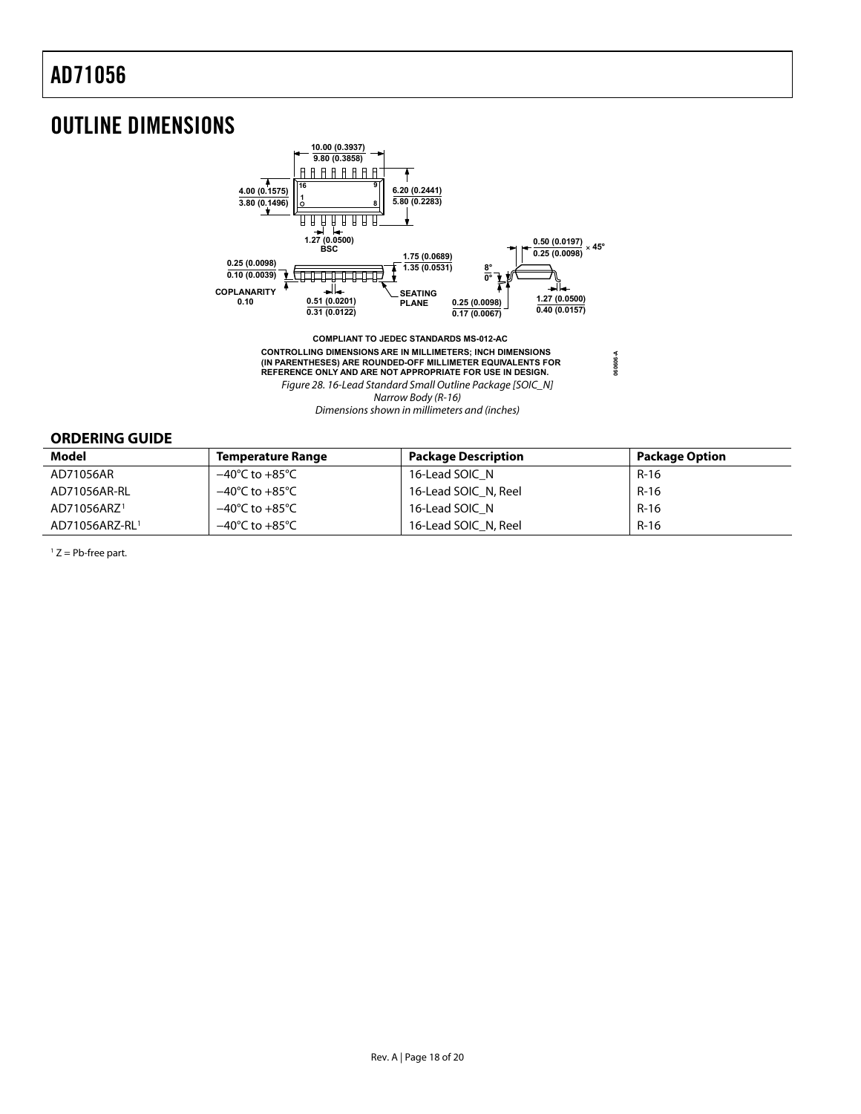### <span id="page-17-0"></span>OUTLINE DIMENSIONS



**CONTROLLING DIMENSIONS ARE IN MILLIMETERS; INCH DIMENSIONS (IN PARENTHESES) ARE ROUNDED-OFF MILLIMETER EQUIVALENTS FOR REFERENCE ONLY AND ARE NOT APPROPRIATE FOR USE IN DESIGN.** Figure 28. 16-Lead Standard Small Outline Package [SOIC\_N] Narrow Body (R-16) Dimensions shown in millimeters and (inches)

**060606-A**

#### **ORDERING GUIDE**

| Model                   | <b>Temperature Range</b>           | <b>Package Description</b> | <b>Package Option</b> |
|-------------------------|------------------------------------|----------------------------|-----------------------|
| AD71056AR               | −40℃ to +85℃                       | 16-Lead SOIC N             | R-16                  |
| AD71056AR-RL            | $-40^{\circ}$ C to $+85^{\circ}$ C | 16-Lead SOIC N, Reel       | R-16                  |
| AD71056ARZ <sup>1</sup> | $-40^{\circ}$ C to $+85^{\circ}$ C | 16-Lead SOIC N             | $R-16$                |
| AD71056ARZ-RL1          | $-40^{\circ}$ C to $+85^{\circ}$ C | 16-Lead SOIC N, Reel       | R-16                  |

 $1 Z = Pb$ -free part.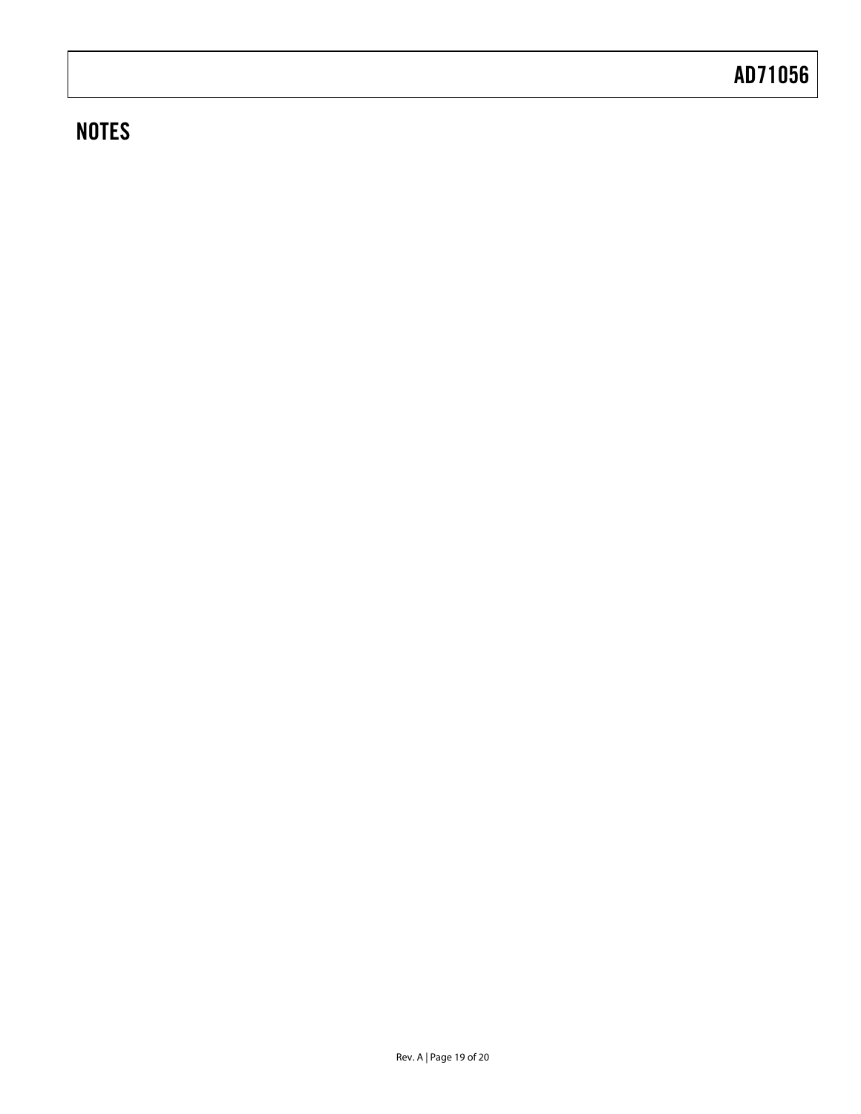# **NOTES**